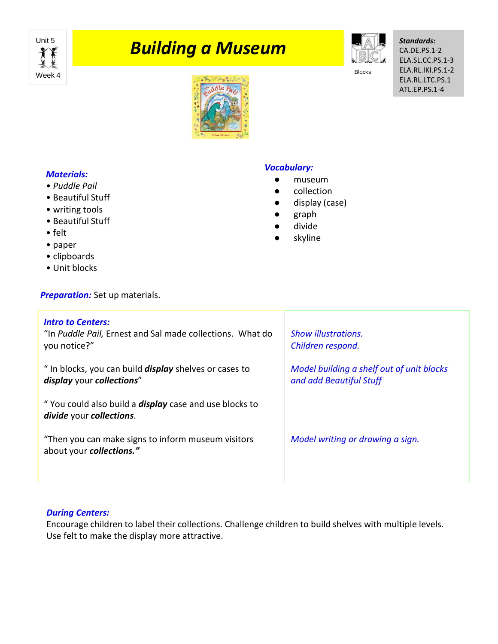

# **Punit 5 Suilding a Museum**



Blocks

*Standards:* CA.DE.PS.1-2 ELA.SL.CC.PS.1-3 ELA.RL.IKI.PS.1-2 ELA.RL.LTC.PS.1 ATL.EP.PS.1-4



## *Materials:*

- *Puddle Pail*
- Beautiful Stuff
- writing tools
- Beautiful Stuff
- felt
- paper
- clipboards
- Unit blocks

**Preparation:** Set up materials.

### *Vocabulary:*

- museum
- collection
- display (case)
- graph
- divide
- skyline

| <b>Intro to Centers:</b><br>"In Puddle Pail, Ernest and Sal made collections. What do<br>you notice?" | <b>Show illustrations.</b><br>Children respond.                      |
|-------------------------------------------------------------------------------------------------------|----------------------------------------------------------------------|
| " In blocks, you can build <i>display</i> shelves or cases to<br>display your collections"            | Model building a shelf out of unit blocks<br>and add Beautiful Stuff |
| "You could also build a <b>display</b> case and use blocks to<br>divide your collections.             |                                                                      |
| "Then you can make signs to inform museum visitors<br>about your collections."                        | Model writing or drawing a sign.                                     |
|                                                                                                       |                                                                      |

#### *During Centers:*

Encourage children to label their collections. Challenge children to build shelves with multiple levels. Use felt to make the display more attractive.